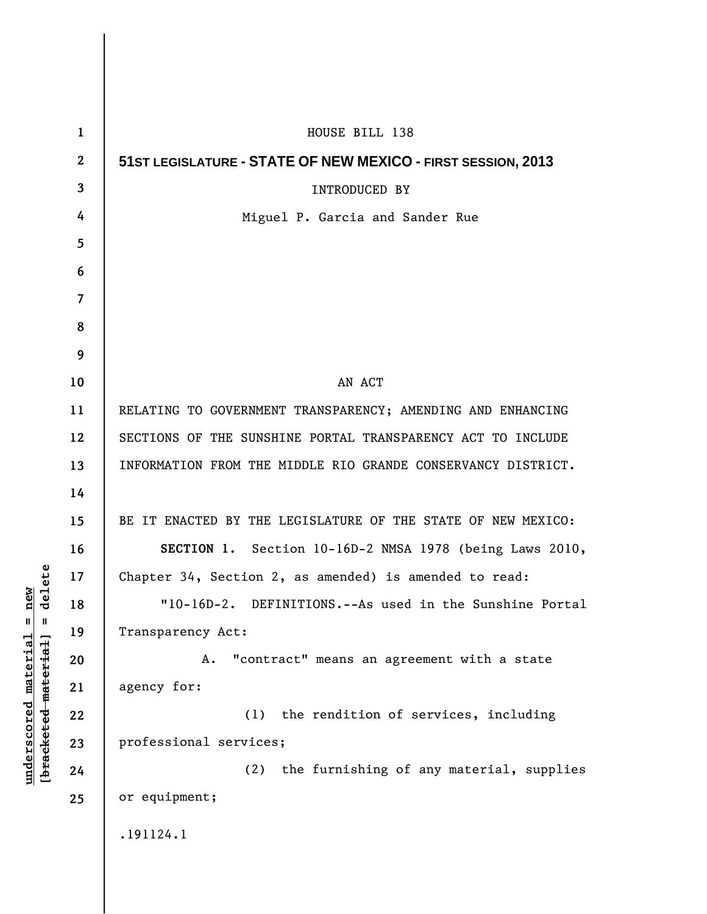| $\mathbf{1}$   | HOUSE BILL 138                                                |
|----------------|---------------------------------------------------------------|
| $\mathbf{2}$   | 51 ST LEGISLATURE - STATE OF NEW MEXICO - FIRST SESSION, 2013 |
| 3              | <b>INTRODUCED BY</b>                                          |
| 4              | Miguel P. Garcia and Sander Rue                               |
| 5              |                                                               |
| 6              |                                                               |
| $\overline{7}$ |                                                               |
| 8              |                                                               |
| 9              |                                                               |
| 10             | AN ACT                                                        |
| 11             | RELATING TO GOVERNMENT TRANSPARENCY; AMENDING AND ENHANCING   |
| 12             | SECTIONS OF THE SUNSHINE PORTAL TRANSPARENCY ACT TO INCLUDE   |
| 13             | INFORMATION FROM THE MIDDLE RIO GRANDE CONSERVANCY DISTRICT.  |
| 14             |                                                               |
| 15             | BE IT ENACTED BY THE LEGISLATURE OF THE STATE OF NEW MEXICO:  |
| 16             | SECTION 1. Section 10-16D-2 NMSA 1978 (being Laws 2010,       |
| 17             | Chapter 34, Section 2, as amended) is amended to read:        |
| 18             | DEFINITIONS.--As used in the Sunshine Portal<br>$"10-16D-2.$  |
| 19             | Transparency Act:                                             |
| 20             | "contract" means an agreement with a state<br>Α.              |
| 21             | agency for:                                                   |
| 22             | (1) the rendition of services, including                      |
| 23             | professional services;                                        |
| 24             | (2) the furnishing of any material, supplies                  |
| 25             | or equipment;                                                 |
|                | .191124.1                                                     |
|                |                                                               |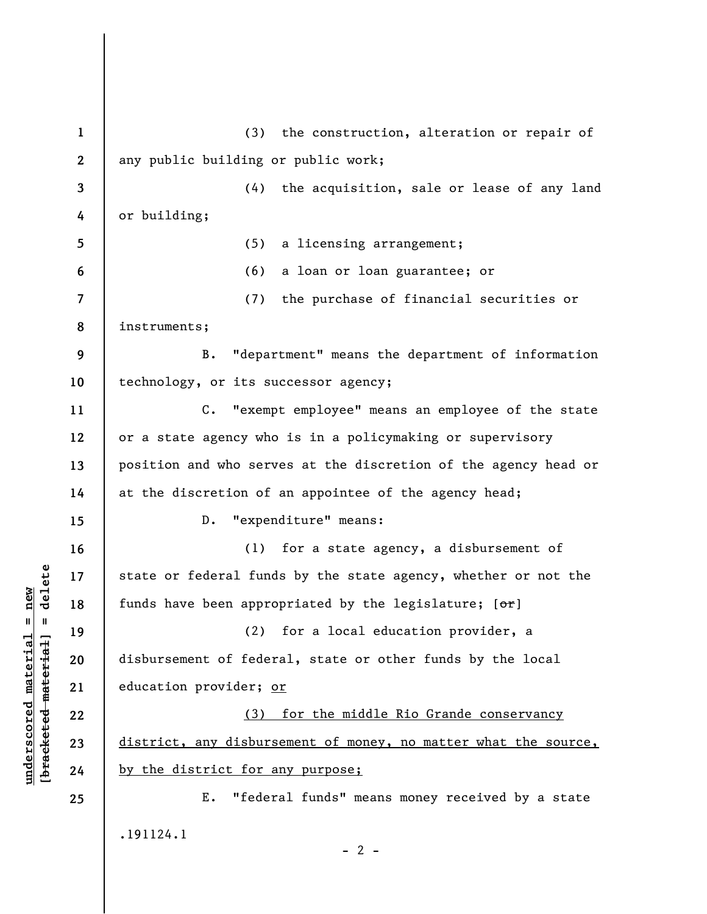**1 2 3 4 5 6 7 8 9 10 11 12 13 14 15 16 17 18 19 20 21 22 23 24 25**  (3) the construction, alteration or repair of any public building or public work; (4) the acquisition, sale or lease of any land or building; (5) a licensing arrangement; (6) a loan or loan guarantee; or (7) the purchase of financial securities or instruments; B. "department" means the department of information technology, or its successor agency; C. "exempt employee" means an employee of the state or a state agency who is in a policymaking or supervisory position and who serves at the discretion of the agency head or at the discretion of an appointee of the agency head; D. "expenditure" means: (1) for a state agency, a disbursement of state or federal funds by the state agency, whether or not the funds have been appropriated by the legislature;  $[ $\sigma$  r]$ (2) for a local education provider, a disbursement of federal, state or other funds by the local education provider; or (3) for the middle Rio Grande conservancy district, any disbursement of money, no matter what the source, by the district for any purpose; E. "federal funds" means money received by a state .191124.1  $- 2 -$ 

**underscored material = new [bracketed material] = delete**

 $\frac{1}{2}$  intereted material = delete  $underscored material = new$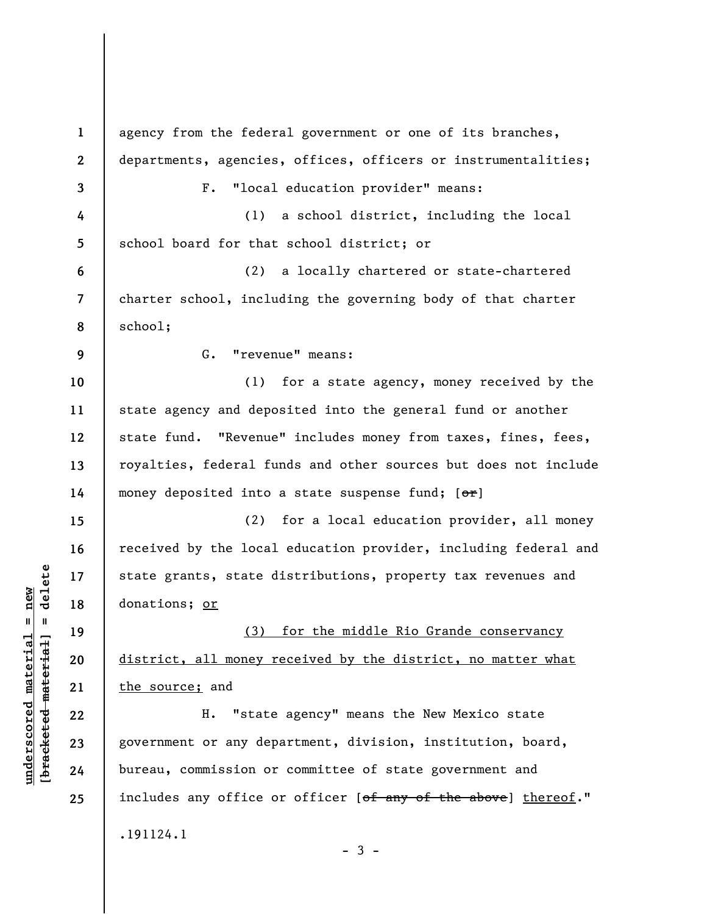| $\mathbf 1$      | agency from the federal government or one of its branches,                  |
|------------------|-----------------------------------------------------------------------------|
| $\boldsymbol{2}$ | departments, agencies, offices, officers or instrumentalities;              |
| 3                | "local education provider" means:<br>$F$ .                                  |
| 4                | a school district, including the local<br>(1)                               |
| 5                | school board for that school district; or                                   |
| 6                | a locally chartered or state-chartered<br>(2)                               |
| $\overline{7}$   | charter school, including the governing body of that charter                |
| 8                | school;                                                                     |
| 9                | G. "revenue" means:                                                         |
| 10               | (1) for a state agency, money received by the                               |
| 11               | state agency and deposited into the general fund or another                 |
| 12               | state fund. "Revenue" includes money from taxes, fines, fees,               |
| 13               | royalties, federal funds and other sources but does not include             |
| 14               | money deposited into a state suspense fund; [or]                            |
| 15               | (2) for a local education provider, all money                               |
| 16               | received by the local education provider, including federal and             |
| 17               | state grants, state distributions, property tax revenues and                |
| 18               | donations; or                                                               |
| 19               | (3) for the middle Rio Grande conservancy                                   |
| 20               | district, all money received by the district, no matter what                |
| 21               | the source; and                                                             |
| 22               | "state agency" means the New Mexico state<br>н.                             |
| 23               | government or any department, division, institution, board,                 |
| 24               | bureau, commission or committee of state government and                     |
| 25               | includes any office or officer [ <del>of any of the above</del> ] thereof." |
|                  | .191124.1<br>$-3 -$                                                         |

 $[bracketeed-materiat] = delete$ **[bracketed material] = delete**  $underscored material = new$ **underscored material = new**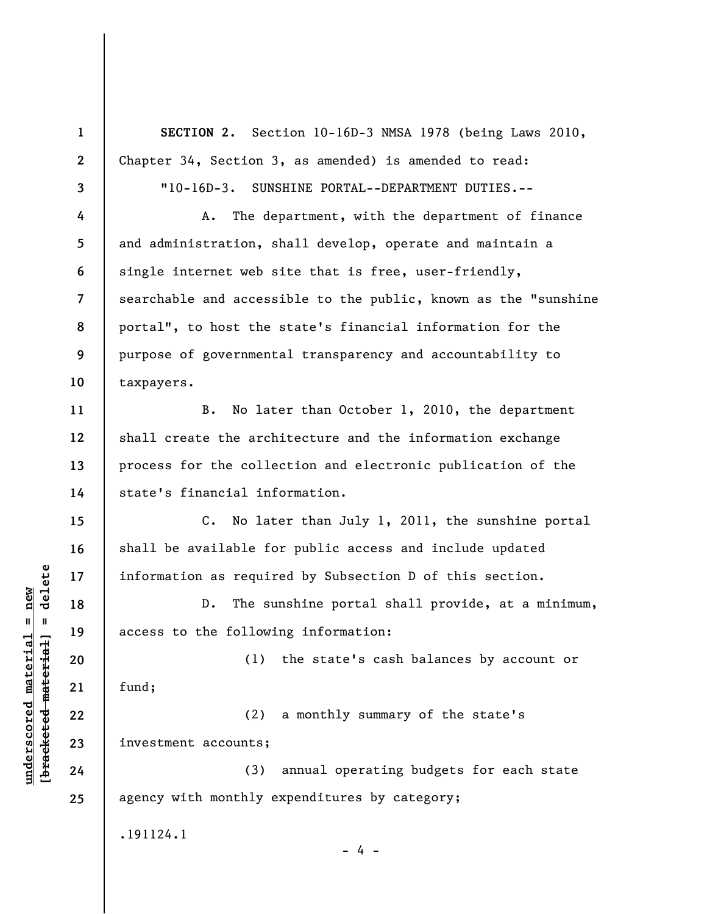**1 2 3 4 5 6 7 8 9 10 11 12 13 14 15 16 17 18 19 20 21 22 23 24 25 SECTION 2.** Section 10-16D-3 NMSA 1978 (being Laws 2010, Chapter 34, Section 3, as amended) is amended to read: "10-16D-3. SUNSHINE PORTAL--DEPARTMENT DUTIES.-- A. The department, with the department of finance and administration, shall develop, operate and maintain a single internet web site that is free, user-friendly, searchable and accessible to the public, known as the "sunshine portal", to host the state's financial information for the purpose of governmental transparency and accountability to taxpayers. B. No later than October 1, 2010, the department shall create the architecture and the information exchange process for the collection and electronic publication of the state's financial information. C. No later than July 1, 2011, the sunshine portal shall be available for public access and include updated information as required by Subsection D of this section. D. The sunshine portal shall provide, at a minimum, access to the following information: (1) the state's cash balances by account or fund; (2) a monthly summary of the state's investment accounts; (3) annual operating budgets for each state agency with monthly expenditures by category; .191124.1 - 4 -

**underscored material = new [bracketed material] = delete**

 $\frac{1}{2}$  intereted material = delete  $underscored$  material = new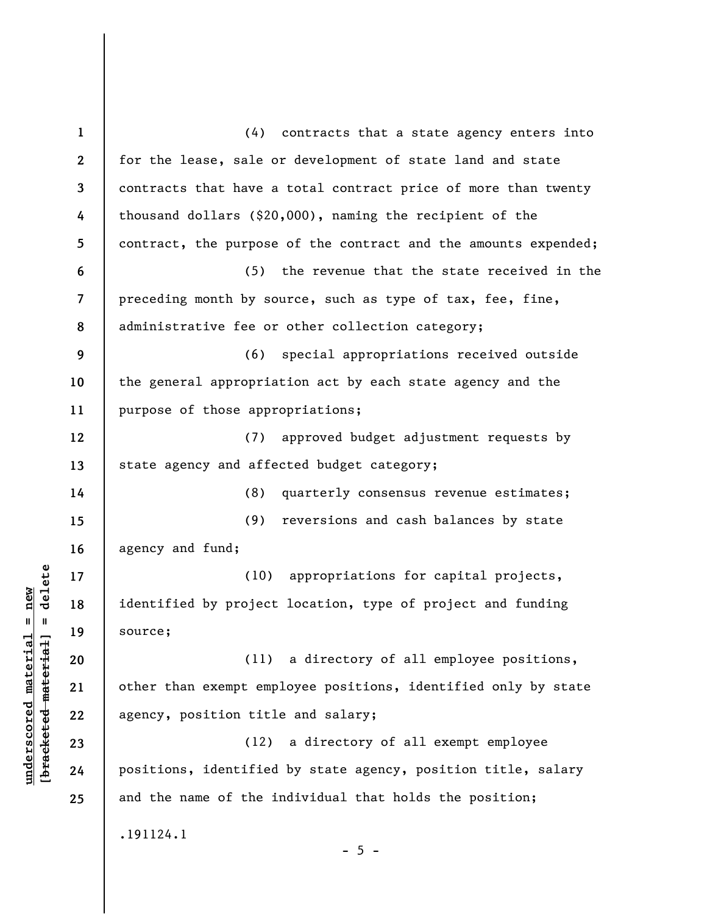**1 2 3 4 5 6 7 8 9 10 11 12 13 14 15 16 17 18 19 20 21 22 23 24 25**  (4) contracts that a state agency enters into for the lease, sale or development of state land and state contracts that have a total contract price of more than twenty thousand dollars (\$20,000), naming the recipient of the contract, the purpose of the contract and the amounts expended; (5) the revenue that the state received in the preceding month by source, such as type of tax, fee, fine, administrative fee or other collection category; (6) special appropriations received outside the general appropriation act by each state agency and the purpose of those appropriations; (7) approved budget adjustment requests by state agency and affected budget category; (8) quarterly consensus revenue estimates; (9) reversions and cash balances by state agency and fund; (10) appropriations for capital projects, identified by project location, type of project and funding source; (11) a directory of all employee positions, other than exempt employee positions, identified only by state agency, position title and salary; (12) a directory of all exempt employee positions, identified by state agency, position title, salary and the name of the individual that holds the position; .191124.1  $- 5 -$ 

**underscored material = new [bracketed material] = delete**

 $\frac{1}{2}$  of  $\frac{1}{2}$  and  $\frac{1}{2}$  and  $\frac{1}{2}$  and  $\frac{1}{2}$  and  $\frac{1}{2}$  and  $\frac{1}{2}$  and  $\frac{1}{2}$  and  $\frac{1}{2}$  and  $\frac{1}{2}$  and  $\frac{1}{2}$  and  $\frac{1}{2}$  and  $\frac{1}{2}$  and  $\frac{1}{2}$  and  $\frac{1}{2}$  and  $\frac{1}{2}$  an  $underscored material = new$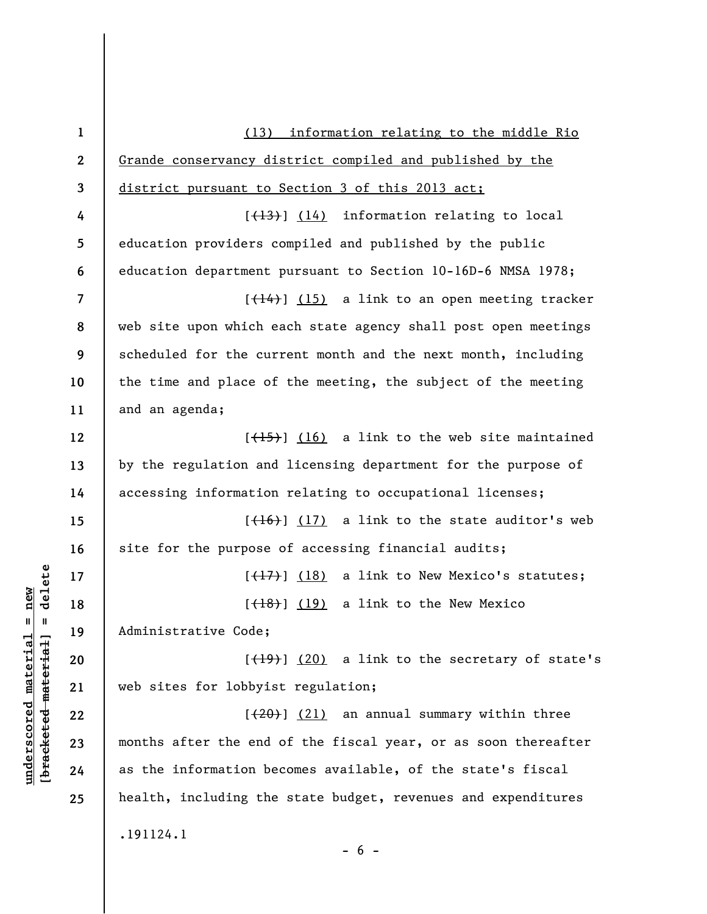| $\mathbf{1}$     | (13) information relating to the middle Rio                                    |
|------------------|--------------------------------------------------------------------------------|
| $\boldsymbol{2}$ | Grande conservancy district compiled and published by the                      |
| 3                | district pursuant to Section 3 of this 2013 act;                               |
| 4                | $[\frac{13}{13}]$ $(14)$ information relating to local                         |
| 5                | education providers compiled and published by the public                       |
| 6                | education department pursuant to Section 10-16D-6 NMSA 1978;                   |
| 7                | $[\frac{(14)}{12}]$ (15) a link to an open meeting tracker                     |
| 8                | web site upon which each state agency shall post open meetings                 |
| 9                | scheduled for the current month and the next month, including                  |
| 10               | the time and place of the meeting, the subject of the meeting                  |
| 11               | and an agenda;                                                                 |
| 12               | $[\frac{(15)}{16}]$ (16) a link to the web site maintained                     |
| 13               | by the regulation and licensing department for the purpose of                  |
| 14               | accessing information relating to occupational licenses;                       |
| 15               | $[\frac{(16)}{17}]$ (17) a link to the state auditor's web                     |
| 16               | site for the purpose of accessing financial audits;                            |
| 17               | $[$ $($ $\frac{17}{12})$ $($ $\frac{18}{18})$ a link to New Mexico's statutes; |
| 18               | $[$ $(18)$ $(19)$ a link to the New Mexico                                     |
| 19               | Administrative Code;                                                           |
| 20               | $[$ $(19)$ ] $(20)$ a link to the secretary of state's                         |
| 21               | web sites for lobbyist regulation;                                             |
| 22               | $[20]$ $(21)$ an annual summary within three                                   |
| 23               | months after the end of the fiscal year, or as soon thereafter                 |
| 24               | as the information becomes available, of the state's fiscal                    |
| 25               | health, including the state budget, revenues and expenditures                  |
|                  | .191124.1<br>$-6-$                                                             |

 $[bracketeed-materiat] = delete$ **[bracketed material] = delete**  $underscored material = new$ **underscored material = new**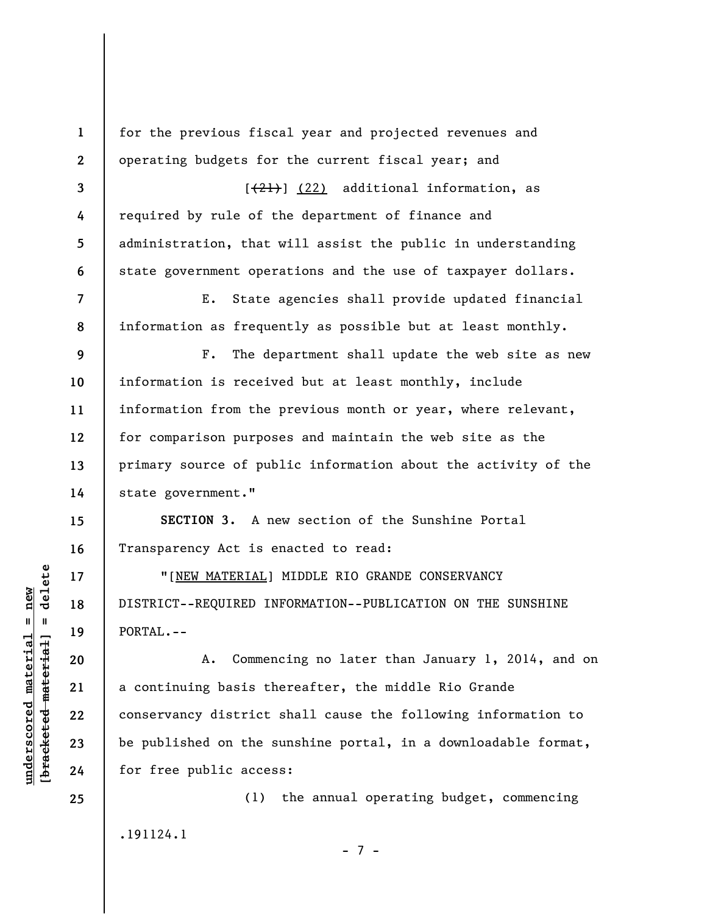**1 2 3 4 5 6 7 8 9 10 11 12 13 14 15 16 17 18 19 20 21 22 23 24 25**  for the previous fiscal year and projected revenues and operating budgets for the current fiscal year; and  $[21]$  (22) additional information, as required by rule of the department of finance and administration, that will assist the public in understanding state government operations and the use of taxpayer dollars. E. State agencies shall provide updated financial information as frequently as possible but at least monthly. F. The department shall update the web site as new information is received but at least monthly, include information from the previous month or year, where relevant, for comparison purposes and maintain the web site as the primary source of public information about the activity of the state government." **SECTION 3.** A new section of the Sunshine Portal Transparency Act is enacted to read: "[NEW MATERIAL] MIDDLE RIO GRANDE CONSERVANCY DISTRICT--REQUIRED INFORMATION--PUBLICATION ON THE SUNSHINE PORTAL.-- A. Commencing no later than January 1, 2014, and on a continuing basis thereafter, the middle Rio Grande conservancy district shall cause the following information to be published on the sunshine portal, in a downloadable format, for free public access: (1) the annual operating budget, commencing .191124.1

 $\frac{1}{2}$  of  $\frac{1}{2}$  and  $\frac{1}{2}$  and  $\frac{1}{2}$  and  $\frac{1}{2}$  and  $\frac{1}{2}$  and  $\frac{1}{2}$  and  $\frac{1}{2}$  and  $\frac{1}{2}$  and  $\frac{1}{2}$  and  $\frac{1}{2}$  and  $\frac{1}{2}$  and  $\frac{1}{2}$  and  $\frac{1}{2}$  and  $\frac{1}{2}$  and  $\frac{1}{2}$  an **[bracketed material] = delete**  $underscored material = new$ **underscored material = new**

- 7 -